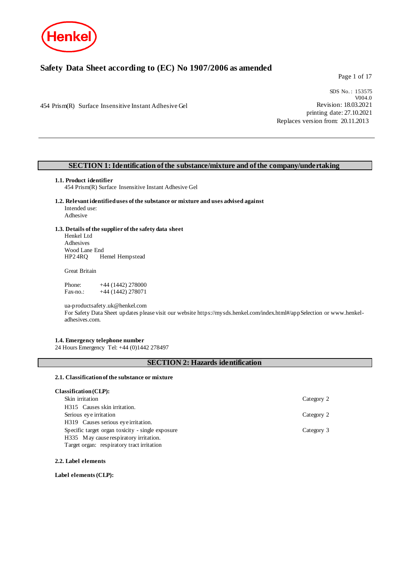

## **Safety Data Sheet according to (EC) No 1907/2006 as amended**

Page 1 of 17

454 Prism(R) Surface Insensitive Instant Adhesive Gel

SDS No. : 153575 V004.0 Revision: 18.03.2021 printing date: 27.10.2021 Replaces version from: 20.11.2013

### **SECTION 1: Identification of the substance/mixture and of the company/undertaking**

#### **1.1. Product identifier**

454 Prism(R) Surface Insensitive Instant Adhesive Gel

**1.2. Relevant identified uses of the substance or mixture and uses advised against** Intended use: Adhesive

# **1.3. Details of the supplier of the safety data sheet**

Henkel Ltd Adhesives Wood Lane End<br>HP2 4RO He Hemel Hempstead

Great Britain

Phone: +44 (1442) 278000<br>Fax-no.: +44 (1442) 278071  $+44$  (1442) 278071

ua-productsafety.uk@henkel.com

For Safety Data Sheet updates please visit our website https://mysds.henkel.com/index.html#/appSelection or www.henkeladhesives.com.

### **1.4. Emergency telephone number**

24 Hours Emergency Tel: +44 (0)1442 278497

### **SECTION 2: Hazards identification**

#### **2.1. Classification of the substance or mixture**

### **Classification (CLP):**

| Skin irritation                                  | Category 2 |
|--------------------------------------------------|------------|
| H315 Causes skin irritation.                     |            |
| Serious eye irritation                           | Category 2 |
| H319 Causes serious eye irritation.              |            |
| Specific target organ toxicity - single exposure | Category 3 |
| H335 May cause respiratory irritation.           |            |
| Target organ: respiratory tract irritation       |            |

### **2.2. Label elements**

#### **Label elements (CLP):**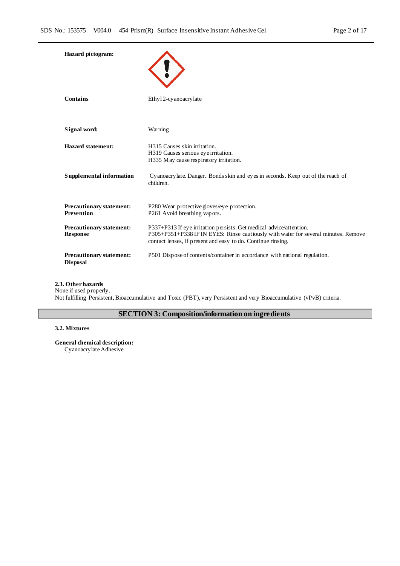| <b>Hazard</b> pictogram:                             |                                                                                                                                                                                                                           |
|------------------------------------------------------|---------------------------------------------------------------------------------------------------------------------------------------------------------------------------------------------------------------------------|
| Contains                                             | Ethyl 2-cy anoacry late                                                                                                                                                                                                   |
| Signal word:                                         | Warning                                                                                                                                                                                                                   |
| <b>Hazard statement:</b>                             | H315 Causes skin irritation.<br>H319 Causes serious eye irritation.<br>H335 May cause respiratory irritation.                                                                                                             |
| Supplemental information                             | Cyanoacry late. Danger. Bonds skin and eyes in seconds. Keep out of the reach of<br>children.                                                                                                                             |
| <b>Precautionary statement:</b><br><b>Prevention</b> | P280 Wear protective gloves/eye protection.<br>P261 Avoid breathing vapors.                                                                                                                                               |
| <b>Precautionary statement:</b><br><b>Response</b>   | P337+P313 If eye irritation persists: Get medical advice/attention.<br>P305+P351+P338 IF IN EYES: Rinse cautiously with water for several minutes. Remove<br>contact lenses, if present and easy to do. Continue rinsing. |
| <b>Precautionary statement:</b><br><b>Disposal</b>   | P501 Dispose of contents/container in accordance with national regulation.                                                                                                                                                |

### **2.3. Other hazards**

None if used properly.

Not fulfilling Persistent, Bioaccumulative and Toxic (PBT), very Persistent and very Bioaccumulative (vPvB) criteria.

## **SECTION 3: Composition/information on ingredients**

### **3.2. Mixtures**

**General chemical description:**

Cyanoacrylate Adhesive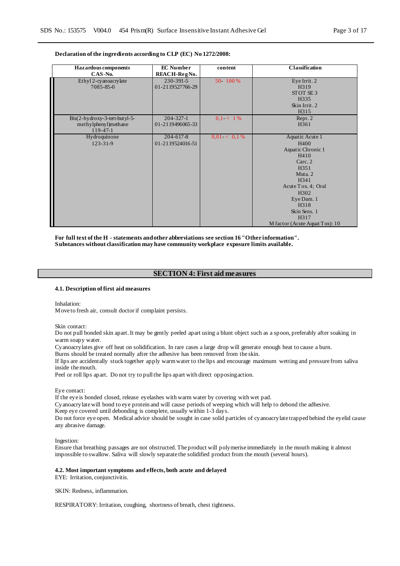#### **Declaration of the ingredients according to CLP (EC) No 1272/2008:**

| Hazardous components            | <b>EC</b> Number | content        | <b>Classification</b>            |
|---------------------------------|------------------|----------------|----------------------------------|
| CAS-No.                         | REACH-RegNo.     |                |                                  |
| Ethyl 2-cyanoacrylate           | $230 - 391 - 5$  | 50 - 100 %     | Eye Irrit. 2                     |
| $7085 - 85 - 0$                 | 01-2119527766-29 |                | H319                             |
|                                 |                  |                | STOT SE3                         |
|                                 |                  |                | H335                             |
|                                 |                  |                | Skin Irrit. 2                    |
|                                 |                  |                | H315                             |
| $Bis(2-hydroxy-3-tert-butyl-5-$ | $204 - 327 - 1$  | $0.1 < 1\%$    | Repr. 2                          |
| methylphenyl)methane            | 01-2119496065-33 |                | H361                             |
| $119-47-1$                      |                  |                |                                  |
| Hydroquinone                    | $204 - 617 - 8$  | $0.01 < 0.1\%$ | Aquatic Acute 1                  |
| $123 - 31 - 9$                  | 01-2119524016-51 |                | H400                             |
|                                 |                  |                | Aquatic Chronic 1                |
|                                 |                  |                | H410                             |
|                                 |                  |                | Carc. 2                          |
|                                 |                  |                | H351                             |
|                                 |                  |                | Muta <sub>2</sub>                |
|                                 |                  |                | H341                             |
|                                 |                  |                | Acute Tox. 4; Oral               |
|                                 |                  |                | H <sub>3</sub> 02                |
|                                 |                  |                | Eye Dam. 1                       |
|                                 |                  |                | H318                             |
|                                 |                  |                | Skin Sens. 1                     |
|                                 |                  |                | H317                             |
|                                 |                  |                | M factor (Acute Aquat Tox): $10$ |

**For full text of the H - statements and other abbreviations see section 16 "Other information". Substances without classification may have community workplace exposure limits available.**

### **SECTION 4: First aid measures**

#### **4.1. Description of first aid measures**

Inhalation:

Move to fresh air, consult doctor if complaint persists.

Skin contact:

Do not pull bonded skin apart. It may be gently peeled apart using a blunt object such as a spoon, preferably after soaking in warm soapy water.

Cyanoacrylates give off heat on solidification. In rare cases a large drop will generate enough heat to cause a burn.

Burns should be treated normally after the adhesive has been removed from the skin.

If lips are accidentally stuck together apply warm water to the lips and encourage maximum wetting and pressure from saliva inside the mouth.

Peel or roll lips apart. Do not try to pull the lips apart with direct opposing action.

Eye contact:

If the eye is bonded closed, release eyelashes with warm water by covering with wet pad.

Cyanoacrylate will bond to eye protein and will cause periods of weeping which will help to debond the adhesive.

Keep eye covered until debonding is complete, usually within 1-3 days.

Do not force eye open. Medical advice should be sought in case solid particles of cyanoacrylate trapped behind the eyelid cause any abrasive damage.

Ingestion:

Ensure that breathing passages are not obstructed. The product will polymerise immediately in the mouth making it almost impossible to swallow. Saliva will slowly separate the solidified product from the mouth (several hours).

#### **4.2. Most important symptoms and effects, both acute and delayed**

EYE: Irritation, conjunctivitis.

SKIN: Redness, inflammation.

RESPIRATORY: Irritation, coughing, shortness of breath, chest tightness.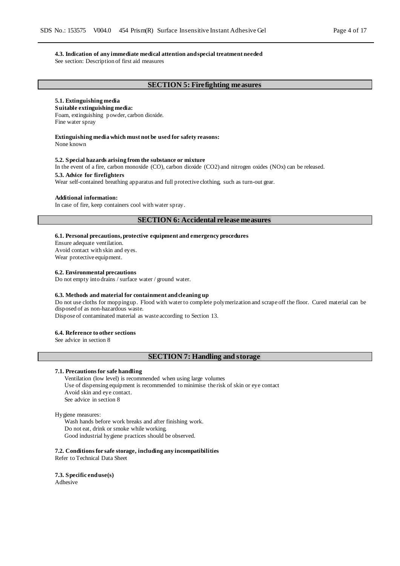#### **4.3. Indication of any immediate medical attention and special treatment needed**

See section: Description of first aid measures

### **SECTION 5: Firefighting measures**

### **5.1. Extinguishing media**

**Suitable extinguishing media:** Foam, extinguishing powder, carbon dioxide. Fine water spray

#### **Extinguishing media which must not be used for safety reasons:**

None known

#### **5.2. Special hazards arising from the substance or mixture**

In the event of a fire, carbon monoxide (CO), carbon dioxide (CO2) and nitrogen oxides (NOx) can be released.

### **5.3. Advice for firefighters**

Wear self-contained breathing apparatus and full protective clothing, such as turn-out gear.

#### **Additional information:**

In case of fire, keep containers cool with water spray.

### **SECTION 6: Accidental release measures**

#### **6.1. Personal precautions, protective equipment and emergency procedures**

Ensure adequate ventilation. Avoid contact with skin and eyes.

Wear protective equipment.

#### **6.2. Environmental precautions**

Do not empty into drains / surface water / ground water.

#### **6.3. Methods and material for containment and cleaning up**

Do not use cloths for mopping up. Flood with water to complete polymerization and scrape off the floor. Cured material can be disposed of as non-hazardous waste.

Dispose of contaminated material as waste according to Section 13.

#### **6.4. Reference to other sections**

See advice in section 8

### **SECTION 7: Handling and storage**

#### **7.1. Precautions for safe handling**

Ventilation (low level) is recommended when using large volumes Use of dispensing equipment is recommended to minimise the risk of skin or eye contact Avoid skin and eye contact. See advice in section 8

#### Hygiene measures:

Wash hands before work breaks and after finishing work. Do not eat, drink or smoke while working. Good industrial hygiene practices should be observed.

**7.2. Conditions for safe storage, including any incompatibilities**

Refer to Technical Data Sheet

**7.3. Specific end use(s)** Adhesive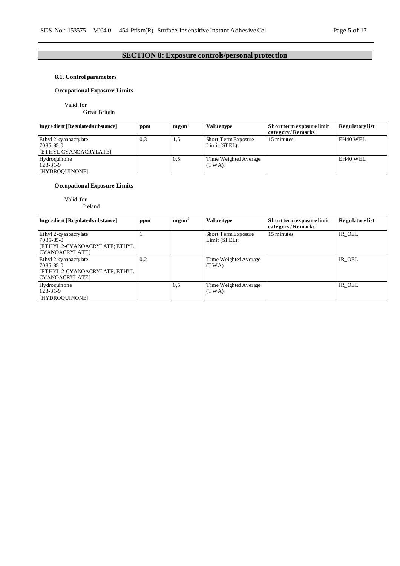### **SECTION 8: Exposure controls/personal protection**

### **8.1. Control parameters**

### **Occupational Exposure Limits**

Valid for

Great Britain

| Ingredient [Regulated substance]                                  | ppm | mg/m <sup>3</sup> | Value type                           | Short term exposure limit<br>category/Remarks | <b>Regulatory list</b> |
|-------------------------------------------------------------------|-----|-------------------|--------------------------------------|-----------------------------------------------|------------------------|
| Ethyl 2-cyanoacrylate<br>$7085 - 85 - 0$<br>[ETHYL CYANOACRYLATE] | 0.3 | 1,5               | Short Term Exposure<br>Limit (STEL): | 15 minutes                                    | EH40 WEL               |
| Hydroquinone<br>$123 - 31 - 9$<br>[HYDROQUINONE]                  |     | 0,5               | Time Weighted Average<br>$(TWA)$ :   |                                               | EH40 WEL               |

### **Occupational Exposure Limits**

Valid for

Ireland

| Ingredient [Regulated substance]                                                              | ppm | mg/m <sup>3</sup> | Value type                           | Short term exposure limit<br>category/Remarks | <b>Regulatory list</b> |
|-----------------------------------------------------------------------------------------------|-----|-------------------|--------------------------------------|-----------------------------------------------|------------------------|
| Ethyl 2-cyanoacrylate<br>7085-85-0<br>  [ETHYL 2-CYANOACRYLATE; ETHYL<br>CYANOACRYLATE]       |     |                   | Short Term Exposure<br>Limit (STEL): | 15 minutes                                    | IR OEL                 |
| Ethyl 2-cyanoacrylate<br>$7085 - 85 - 0$<br>  [ETHYL 2-CYANOACRYLATE; ETHYL<br>CYANOACRYLATE] | 0,2 |                   | Time Weighted Average<br>$(TWA)$ :   |                                               | IR OEL                 |
| Hydroquinone<br>$123 - 31 - 9$<br>[HYDROQUINONE]                                              |     | 0.5               | Time Weighted Average<br>$(TWA)$ :   |                                               | IR OEL                 |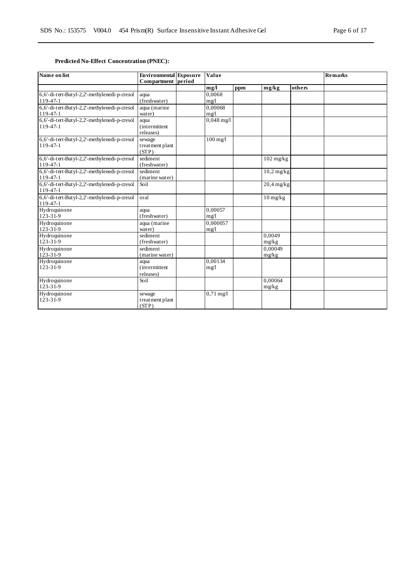### **Predicted No-Effect Concentration (PNEC):**

| Name on list                                 | <b>Environmental</b> Exposure<br>Compartment period | Value                |     |                                  |        | <b>Remarks</b> |
|----------------------------------------------|-----------------------------------------------------|----------------------|-----|----------------------------------|--------|----------------|
|                                              |                                                     | mg/l                 | ppm | mg/kg                            | others |                |
| 6,6'-di-tert-Butyl-2,2'-methylenedi-p-cresol | aqua                                                | 0.0068               |     |                                  |        |                |
| $119-47-1$                                   | (freshwater)                                        | mg/1                 |     |                                  |        |                |
| 6,6'-di-tert-Butyl-2,2'-methylenedi-p-cresol | aqua (marine                                        | 0.00068              |     |                                  |        |                |
| $119-47-1$                                   | water)                                              | mg/l                 |     |                                  |        |                |
| 6,6'-di-tert-Butyl-2,2'-methylenedi-p-cresol | aqua                                                | $0,048 \text{ mg}/1$ |     |                                  |        |                |
| $119 - 47 - 1$                               | <i>(intermittent)</i>                               |                      |     |                                  |        |                |
|                                              | releases)                                           |                      |     |                                  |        |                |
| 6,6'-di-tert-Butyl-2,2'-methylenedi-p-cresol | sewage                                              | $100$ mg/l           |     |                                  |        |                |
| 119-47-1                                     | treatment plant                                     |                      |     |                                  |        |                |
|                                              | (STP)                                               |                      |     |                                  |        |                |
| 6,6'-di-tert-Butyl-2,2'-methylenedi-p-cresol | sediment                                            |                      |     | $102$ mg/kg                      |        |                |
| 119-47-1                                     | (freshwater)                                        |                      |     |                                  |        |                |
| 6,6'-di-tert-Butyl-2,2'-methylenedi-p-cresol | sediment                                            |                      |     | $\overline{10}$ ,2 mg/kg         |        |                |
| 119-47-1                                     | (marine water)                                      |                      |     |                                  |        |                |
| 6,6'-di-tert-Butyl-2,2'-methylenedi-p-cresol | Soil                                                |                      |     | $\overline{20}$ ,4 mg/kg         |        |                |
| 119-47-1                                     |                                                     |                      |     |                                  |        |                |
| 6,6'-di-tert-Butyl-2,2'-methylenedi-p-cresol | oral                                                |                      |     | $10 \frac{\text{mg}}{\text{kg}}$ |        |                |
| 119-47-1                                     |                                                     |                      |     |                                  |        |                |
| Hydroquinone                                 | aqua                                                | 0.00057              |     |                                  |        |                |
| $123 - 31 - 9$                               | (freshwater)                                        | mg/1                 |     |                                  |        |                |
| Hydroquinone                                 | aqua (marine                                        | 0,000057             |     |                                  |        |                |
| $123 - 31 - 9$                               | water)                                              | mg/1                 |     |                                  |        |                |
| Hydroquinone                                 | sediment                                            |                      |     | 0,0049                           |        |                |
| $123 - 31 - 9$                               | (freshwater)                                        |                      |     | mg/kg                            |        |                |
| Hydroquinone                                 | sediment                                            |                      |     | 0.00049                          |        |                |
| 123-31-9                                     | (marine water)                                      |                      |     | mg/kg                            |        |                |
| Hydroquinone                                 | aqua                                                | 0,00134              |     |                                  |        |                |
| $123 - 31 - 9$                               | <i>(intermittent)</i>                               | mg/l                 |     |                                  |        |                |
|                                              | releases)                                           |                      |     |                                  |        |                |
| Hydroquinone                                 | Soil                                                |                      |     | 0.00064                          |        |                |
| $123 - 31 - 9$                               |                                                     |                      |     | mg/kg                            |        |                |
| Hydroquinone                                 | sewage                                              | $0,71 \text{ mg}/1$  |     |                                  |        |                |
| $123 - 31 - 9$                               | treatment plant                                     |                      |     |                                  |        |                |
|                                              | (STP)                                               |                      |     |                                  |        |                |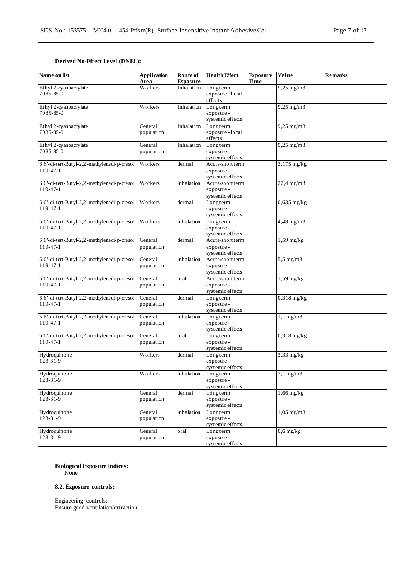### **Derived No-Effect Level (DNEL):**

| Name on list                                             | <b>Application</b><br>Area | Route of<br><b>Exposure</b> | <b>Health Effect</b>                               | <b>Exposure</b><br>Time | Value                     | <b>Remarks</b> |
|----------------------------------------------------------|----------------------------|-----------------------------|----------------------------------------------------|-------------------------|---------------------------|----------------|
| Ethyl 2-cyanoacrylate<br>7085-85-0                       | Workers                    | Inhalation                  | Longterm<br>exposure - local<br>effects            |                         | $9,25$ mg/m $3$           |                |
| Ethyl 2-cyanoacrylate<br>7085-85-0                       | Workers                    | Inhalation                  | Longterm<br>exposure -<br>systemic effects         |                         | $9,25$ mg/m $3$           |                |
| Ethyl 2-cyanoacrylate<br>7085-85-0                       | General<br>population      | Inhalation                  | Longterm<br>exposure - local<br>effects            |                         | $9,25$ mg/m $3$           |                |
| Ethyl 2-cyanoacrylate<br>7085-85-0                       | General<br>population      | Inhalation                  | Longterm<br>exposure -<br>systemic effects         |                         | $9,25$ mg/m $3$           |                |
| 6,6'-di-tert-Butyl-2,2'-methylenedi-p-cresol<br>119-47-1 | Workers                    | dermal                      | Acute/short term<br>exposure -<br>systemic effects |                         | $\overline{3,1}$ 75 mg/kg |                |
| 6,6'-di-tert-Butyl-2,2'-methylenedi-p-cresol<br>119-47-1 | Workers                    | inhalation                  | Acute/short term<br>exposure -<br>systemic effects |                         | 22,4 mg/m3                |                |
| 6,6'-di-tert-Butyl-2,2'-methylenedi-p-cresol<br>119-47-1 | Workers                    | dermal                      | Longterm<br>exposure -<br>systemic effects         |                         | $0,635$ mg/kg             |                |
| 6,6'-di-tert-Butyl-2,2'-methylenedi-p-cresol<br>119-47-1 | Workers                    | inhalation                  | Longterm<br>exposure -<br>systemic effects         |                         | 4,48 mg/m3                |                |
| 6,6'-di-tert-Butyl-2,2'-methylenedi-p-cresol<br>119-47-1 | General<br>population      | dermal                      | Acute/short term<br>exposure -<br>systemic effects |                         | $1,59$ mg/kg              |                |
| 6,6'-di-tert-Butyl-2,2'-methylenedi-p-cresol<br>119-47-1 | General<br>population      | inhalation                  | Acute/short term<br>exposure -<br>systemic effects |                         | $5,5$ mg/m $3$            |                |
| 6,6'-di-tert-Butyl-2,2'-methylenedi-p-cresol<br>119-47-1 | General<br>population      | oral                        | Acute/short term<br>exposure -<br>systemic effects |                         | $1,59$ mg/kg              |                |
| 6,6'-di-tert-Butyl-2,2'-methylenedi-p-cresol<br>119-47-1 | General<br>population      | dermal                      | Longterm<br>exposure -<br>systemic effects         |                         | $0,318$ mg/kg             |                |
| 6,6'-di-tert-Butyl-2,2'-methylenedi-p-cresol<br>119-47-1 | General<br>population      | inhalation                  | Longterm<br>exposure -<br>systemic effects         |                         | $1,1$ mg/m $3$            |                |
| 6,6'-di-tert-Butyl-2,2'-methylenedi-p-cresol<br>119-47-1 | General<br>population      | oral                        | Longterm<br>exposure -<br>systemic effects         |                         | $0,318$ mg/kg             |                |
| Hydroquinone<br>123-31-9                                 | Workers                    | dermal                      | Longterm<br>exposure -<br>systemic effects         |                         | $3,33$ mg/kg              |                |
| Hydroquinone<br>123-31-9                                 | Workers                    | inhalation                  | Longterm<br>exposure -<br>systemic effects         |                         | $2,1$ mg/m $3$            |                |
| Hydroquinone<br>$123 - 31 - 9$                           | General<br>population      | dermal                      | Longterm<br>exposure -<br>systemic effects         |                         | $1,66$ mg/kg              |                |
| Hydroquinone<br>$123 - 31 - 9$                           | General<br>population      | inhalation                  | Longterm<br>exposure -<br>systemic effects         |                         | $1,05$ mg/m $3$           |                |
| Hydroquinone<br>$123 - 31 - 9$                           | General<br>population      | oral                        | Longterm<br>exposure -<br>systemic effects         |                         | $0.6$ mg/kg               |                |

### **Biological Exposure Indices:**

None

### **8.2. Exposure controls:**

Engineering controls: Ensure good ventilation/extraction.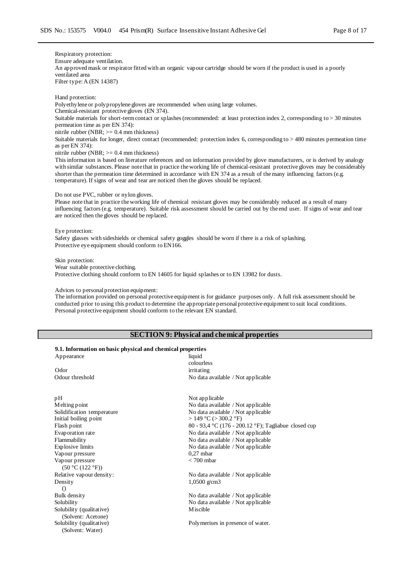Respiratory protection: Ensure adequate ventilation. An approved mask or respirator fitted with an organic vapour cartridge should be worn if the product is used in a poorly ventilated area Filter type: A (EN 14387)

Hand protection: Polyethylene or polypropylene gloves are recommended when using large volumes. Chemical-resistant protective gloves (EN 374). Suitable materials for short-term contact or splashes (recommended: at least protection index 2, corresponding to > 30 minutes permeation time as per EN 374): nitrile rubber (NBR; >= 0.4 mm thickness) Suitable materials for longer, direct contact (recommended: protection index 6, corresponding to > 480 minutes permeation time as per EN 374): nitrile rubber (NBR;  $>= 0.4$  mm thickness) This information is based on literature references and on information provided by glove manufacturers, or is derived by analogy

with similar substances. Please note that in practice the working life of chemical-resistant protective gloves may be considerably shorter than the permeation time determined in accordance with EN 374 as a result of the many influencing factors (e.g. temperature). If signs of wear and tear are noticed then the gloves should be replaced.

#### Do not use PVC, rubber or nylon gloves.

Please note that in practice the working life of chemical resistant gloves may be considerably reduced as a result of many influencing factors (e.g. temperature). Suitable risk assessment should be carried out by the end user. If signs of wear and tear are noticed then the gloves should be replaced.

#### Eye protection:

D

Solubility (qualitative) (Solvent: Acetone)

Solubility (qualitative) (Solvent: Water)

Safety glasses with sideshields or chemical safety goggles should be worn if there is a risk of splashing. Protective eye equipment should conform to EN166.

Skin protection: Wear suitable protective clothing. Protective clothing should conform to EN 14605 for liquid splashes or to EN 13982 for dusts.

#### Advices to personal protection equipment:

The information provided on personal protective equipment is for guidance purposes only. A full risk assessment should be conducted prior to using this product to determine the appropriate personal protective equipment to suit local conditions. Personal protective equipment should conform to the relevant EN standard.

### **SECTION 9: Physical and chemical properties**

#### **9.1. Information on basic physical and chemical properties**

| 2111 иногналон он заэгс риузган ана сисписат ргорегиез |                                                      |
|--------------------------------------------------------|------------------------------------------------------|
| Appearance                                             | liquid                                               |
|                                                        | colourless                                           |
| Odor                                                   | irritating                                           |
| Odour threshold                                        | No data available / Not applicable                   |
| pН                                                     | Not applicable                                       |
| Melting point                                          | No data available / Not applicable                   |
| Solidification temperature                             | No data available / Not applicable                   |
| Initial boiling point                                  | $>$ 149 °C ( $>$ 300.2 °F)                           |
| Flash point                                            | 80 - 93,4 °C (176 - 200.12 °F); Tagliabue closed cup |
| Evaporation rate                                       | No data available / Not applicable                   |
| Flammability                                           | No data available / Not applicable                   |
| Explosive limits                                       | No data available / Not applicable                   |
| Vapour pressure                                        | $0.27$ mbar                                          |
| Vapour pressure                                        | $< 700$ mbar                                         |
| (50 °C (122 °F))                                       |                                                      |
| Relative vapour density:                               | No data available / Not applicable                   |
| Density                                                | 1,0500 $g/cm3$                                       |
| $\circ$                                                |                                                      |

Bulk density No data available / Not applicable Solubility No data available / Not applicable Miscible

Polymerises in presence of water.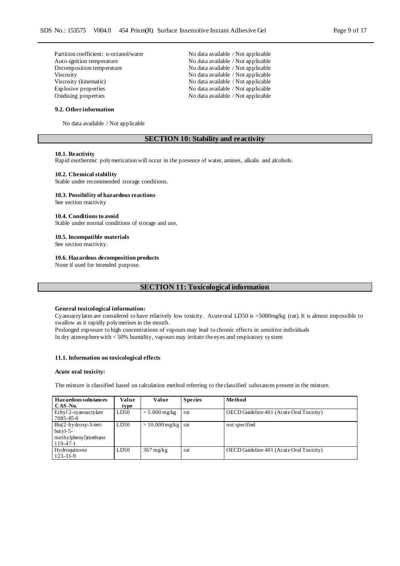| Partition coefficient: n-octanol/water | No data available / Not applicable |
|----------------------------------------|------------------------------------|
| Auto-ignition temperature              | No data available / Not applicable |
| Decomposition temperature              | No data available / Not applicable |
| <b>Viscosity</b>                       | No data available / Not applicable |
| Viscosity (kinematic)                  | No data available / Not applicable |
| Explosive properties                   | No data available / Not applicable |
| Oxidising properties                   | No data available / Not applicable |

#### **9.2. Other information**

No data available / Not applicable

### **SECTION 10: Stability and reactivity**

#### **10.1. Reactivity**

Rapid exothermic polymerization will occur in the presence of water, amines, alkalis and alcohols.

#### **10.2. Chemical stability**

Stable under recommended storage conditions.

#### **10.3. Possibility of hazardous reactions**

See section reactivity

#### **10.4. Conditions to avoid**

Stable under normal conditions of storage and use.

### **10.5. Incompatible materials**

See section reactivity.

#### **10.6. Hazardous decomposition products**

None if used for intended purpose.

### **SECTION 11: Toxicological information**

#### **General toxicological information:**

Cyanoacrylates are considered to have relatively low toxicity. Acute oral LD50 is >5000mg/kg (rat). It is almost impossible to swallow as it rapidly polymerises in the mouth.

Prolonged exposure to high concentrations of vapours may lead to chronic effects in sensitive individuals In dry atmosphere with < 50% humidity, vapours may irritate the eyes and respiratory system

#### **11.1. Information on toxicological effects**

#### **Acute oral toxicity:**

The mixture is classified based on calculation method referring to the classified substances present in the mixture.

| <b>Hazardous substances</b><br>CAS-No.                                      | Value<br>type | Value                        | <b>Species</b> | Method                                   |
|-----------------------------------------------------------------------------|---------------|------------------------------|----------------|------------------------------------------|
| Ethyl 2-cyanoacrylate<br>7085-85-0                                          | LD50          | $> 5.000$ mg/kg              | rat            | OECD Guideline 401 (Acute Oral Toxicity) |
| $Bis(2-hydroxy-3-tert-$<br>but $v1-5$ -<br>methylphenyl)methane<br>119-47-1 | LD50          | $> 10.000$ mg/kg $\vert$ rat |                | not specified                            |
| Hydroquinone<br>$123 - 31 - 9$                                              | LD50          | $367 \text{ mg/kg}$          | rat            | OECD Guideline 401 (Acute Oral Toxicity) |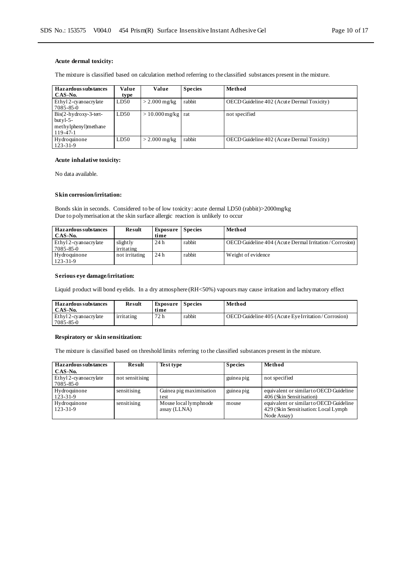#### **Acute dermal toxicity:**

The mixture is classified based on calculation method referring to the classified substances present in the mixture.

| <b>Hazardous substances</b>                                     | Value | Value                        | <b>Species</b> | Method                                     |
|-----------------------------------------------------------------|-------|------------------------------|----------------|--------------------------------------------|
| CAS-No.                                                         | type  |                              |                |                                            |
| Ethyl 2-cyanoacrylate<br>7085-85-0                              | LD50  | $>$ 2.000 mg/kg              | rabbit         | OECD Guideline 402 (Acute Dermal Toxicity) |
| $Bis(2-hydroxy-3-tert-$<br>but $v$ l-5-<br>methylphenyl)methane | LD50  | $> 10.000$ mg/kg $\vert$ rat |                | not specified                              |
| 119-47-1                                                        |       |                              |                |                                            |
| Hydroquinone<br>$123 - 31 - 9$                                  | LD50  | $>$ 2.000 mg/kg              | rabbit         | OECD Guideline 402 (Acute Dermal Toxicity) |

#### **Acute inhalative toxicity:**

No data available.

#### **Skin corrosion/irritation:**

Bonds skin in seconds. Considered to be of low toxicity: acute dermal LD50 (rabbit)>2000mg/kg Due to polymerisation at the skin surface allergic reaction is unlikely to occur

| <b>Hazardous substances</b><br>CAS-No. | <b>Result</b>          | Exposure Species<br>time |        | Method                                                 |
|----------------------------------------|------------------------|--------------------------|--------|--------------------------------------------------------|
| Ethyl 2-cyanoacrylate<br>7085-85-0     | slightly<br>irritating | 24h                      | rabbit | OECD Guideline 404 (Acute Dermal Irritation/Corrosion) |
| Hydroquinone<br>$123 - 31 - 9$         | not irritating         | 24h                      | rabbit | Weight of evidence                                     |

### **Serious eye damage/irritation:**

Liquid product will bond eyelids. In a dry atmosphere (RH<50%) vapours may cause irritation and lachrymatory effect

| <b>Hazardous substances</b><br>CAS-No.    | <b>Result</b> | <b>Exposure</b> Species<br>time |        | Method                                              |
|-------------------------------------------|---------------|---------------------------------|--------|-----------------------------------------------------|
| Ethyl 2-cvanoacrylate<br>$17085 - 85 - 0$ | irritating    | 72 h                            | rabbit | OECD Guideline 405 (Acute Eye Irritation/Corrosion) |

#### **Respiratory or skin sensitization:**

The mixture is classified based on threshold limits referring to the classified substances present in the mixture.

| Hazardous substances  | Result          | <b>Test type</b>        | <b>Species</b> | Method                                  |
|-----------------------|-----------------|-------------------------|----------------|-----------------------------------------|
| CAS-No.               |                 |                         |                |                                         |
| Ethyl 2-cyanoacrylate | not sensitising |                         | guinea pig     | not specified                           |
| 7085-85-0             |                 |                         |                |                                         |
| Hydroquinone          | sensitising     | Guinea pig maximisation | guinea pig     | equivalent or similar to OECD Guideline |
| 123-31-9              |                 | test                    |                | 406 (Skin Sensitisation)                |
| Hydroquinone          | sensitising     | Mouse local lymphnode   | mouse          | equivalent or similar to OECD Guideline |
| $123 - 31 - 9$        |                 | assay (LLNA)            |                | 429 (Skin Sensitisation: Local Lymph)   |
|                       |                 |                         |                | Node Assay)                             |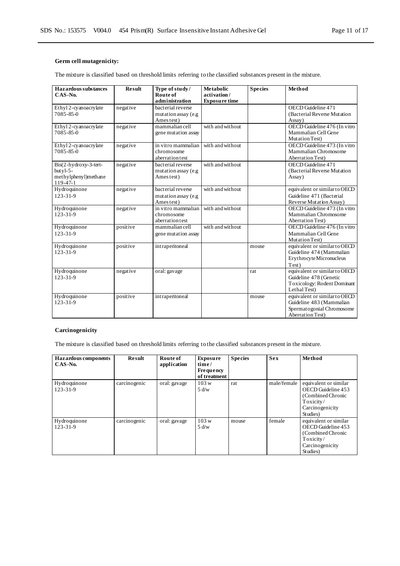### **Germ cell mutagenicity:**

The mixture is classified based on threshold limits referring to the classified substances present in the mixture.

| Hazardous substances<br>$CAS-No.$                                         | <b>Result</b> | Type of study/<br>Route of<br>administration           | <b>Metabolic</b><br>activation/<br><b>Exposure time</b> | <b>Species</b> | Method                                                                                                     |
|---------------------------------------------------------------------------|---------------|--------------------------------------------------------|---------------------------------------------------------|----------------|------------------------------------------------------------------------------------------------------------|
| Ethyl 2-cyanoacrylate<br>7085-85-0                                        | negative      | bacterial reverse<br>mutation assay (e.g<br>Ames test) |                                                         |                | OECD Guideline 471<br>(Bacterial Reverse Mutation<br>Assay)                                                |
| Ethyl 2-cyanoacrylate<br>7085-85-0                                        | negative      | mammalian cell<br>gene mutation assay                  | with and without                                        |                | OECD Guideline 476 (In vitro<br>Mammalian Cell Gene<br>Mutation Test)                                      |
| Ethyl 2-cyanoacrylate<br>$7085 - 85 - 0$                                  | negative      | in vitro mammalian<br>chromosome<br>aberration test    | with and without                                        |                | OECD Guideline 473 (In vitro<br>Mammalian Chromosome<br>Aberration Test)                                   |
| Bis(2-hydroxy-3-tert-<br>but $v1-5$ -<br>methylphenyl)methane<br>119-47-1 | negative      | bacterial reverse<br>mutation assay (e.g<br>Ames test) | with and without                                        |                | OECD Guideline 471<br>(Bacterial Reverse Mutation<br>Assay)                                                |
| Hydroquinone<br>$123 - 31 - 9$                                            | negative      | bacterial reverse<br>mutation assay (e.g<br>Ames test) | with and without                                        |                | equivalent or similar to OECD<br>Guideline 471 (Bacterial<br>Reverse Mutation Assay)                       |
| Hydroquinone<br>$123 - 31 - 9$                                            | negative      | in vitro mammalian<br>chromosome<br>aberration test    | with and without                                        |                | OECD Guideline 473 (In vitro<br>Mammalian Chromosome<br>Aberration Test)                                   |
| Hydroquinone<br>$123 - 31 - 9$                                            | positive      | mammalian cell<br>gene mutation assay                  | with and without                                        |                | OECD Guideline 476 (In vitro<br>Mammalian Cell Gene<br>Mutation Test)                                      |
| Hydroquinone<br>$123 - 31 - 9$                                            | positive      | intraperitoneal                                        |                                                         | mouse          | equivalent or similar to OECD<br>Guideline 474 (Mammalian<br>Erythrocyte Micronucleus<br>Test)             |
| Hydroquinone<br>$123 - 31 - 9$                                            | negative      | oral: gavage                                           |                                                         | rat            | equivalent or similar to OECD<br>Guideline 478 (Genetic<br>Toxicology: Rodent Dominant<br>Lethal Test)     |
| Hydroquinone<br>$123 - 31 - 9$                                            | positive      | intraperitoneal                                        |                                                         | mouse          | equivalent or similar to OECD<br>Guideline 483 (Mammalian<br>Spermatogonial Chromosome<br>Aberration Test) |

### **Carcinogenicity**

The mixture is classified based on threshold limits referring to the classified substances present in the mixture.

| <b>Hazardous</b> components<br>CAS-No. | <b>Result</b> | Route of<br>application | <b>Exposure</b><br>time/<br><b>Frequency</b><br>of treatment | <b>Species</b> | <b>Sex</b>  | Method                                                                                                       |
|----------------------------------------|---------------|-------------------------|--------------------------------------------------------------|----------------|-------------|--------------------------------------------------------------------------------------------------------------|
| Hydroquinone<br>$123 - 31 - 9$         | carcinogenic  | oral: gavage            | 103 w<br>5 d/w                                               | rat            | male/female | equivalent or similar<br>OECD Guideline 453<br>(Combined Chronic<br>Toxicity/<br>Carcinogenicity<br>Studies) |
| Hydroquinone<br>$123 - 31 - 9$         | carcinogenic  | oral: gavage            | 103 w<br>5 d/w                                               | mouse          | female      | equivalent or similar<br>OECD Guideline 453<br>(Combined Chronic<br>Toxicity/<br>Carcinogenicity<br>Studies) |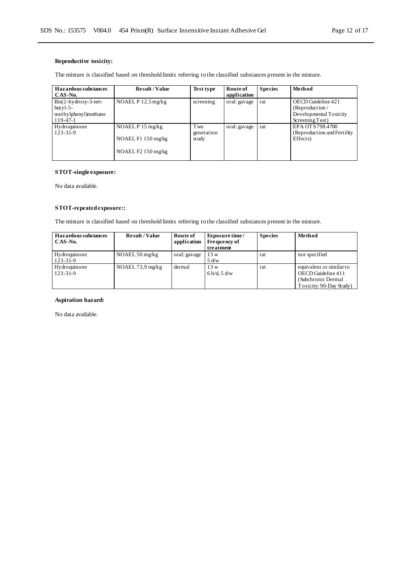### **Reproductive toxicity:**

The mixture is classified based on threshold limits referring to the classified substances present in the mixture.

| Hazardous substances<br>CAS-No.                                             | <b>Result/Value</b>                                             | Test type                   | Route of<br>application | <b>Species</b> | Method                                                                            |
|-----------------------------------------------------------------------------|-----------------------------------------------------------------|-----------------------------|-------------------------|----------------|-----------------------------------------------------------------------------------|
| $Bis(2-hydroxy-3-tert-$<br>but y $1-5-$<br>methylphenyl)methane<br>119-47-1 | NOAEL $P$ 12,5 mg/kg                                            | screening                   | oral: gavage            | rat            | OECD Guideline 421<br>(Reproduction/<br>Developmental Toxicity<br>Screening Test) |
| Hydroquinone<br>$123 - 31 - 9$                                              | NOAEL $P$ 15 mg/kg<br>NOAEL F1 150 mg/kg<br>NOAEL $F2150$ mg/kg | T wo<br>generation<br>study | oral: gavage            | rat            | EPA OTS798.4700<br>(Reproduction and Fertility)<br>Effects)                       |

### **STOT-single exposure:**

No data available.

### **STOT-repeated exposure::**

The mixture is classified based on threshold limits referring to the classified substances present in the mixture.

| <b>Hazardous substances</b><br>CAS-No. | <b>Result/Value</b>         | Route of<br>application | <b>Exposure time</b><br><b>Frequency of</b><br>treatment | <b>Species</b> | Method                                                                                           |
|----------------------------------------|-----------------------------|-------------------------|----------------------------------------------------------|----------------|--------------------------------------------------------------------------------------------------|
| Hydroquinone<br>$123 - 31 - 9$         | NOAEL $50 \,\mathrm{mg/kg}$ | oral: gavage            | 13 w<br>5 d/w                                            | rat            | not specified                                                                                    |
| Hydroquinone<br>$123 - 31 - 9$         | NOAEL $73.9 \text{ mg/kg}$  | dermal                  | 13 w<br>6 h/d, 5 d/w                                     | rat            | equivalent or similar to<br>OECD Guideline 411<br>(Subchronic Dermal)<br>Toxicity: 90-Day Study) |

### **Aspiration hazard:**

No data available.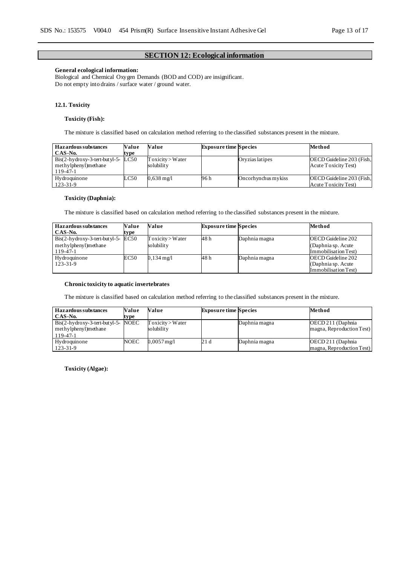### **SECTION 12: Ecological information**

### **General ecological information:**

Biological and Chemical Oxygen Demands (BOD and COD) are insignificant. Do not empty into drains / surface water / ground water.

#### **12.1. Toxicity**

#### **Toxicity (Fish):**

The mixture is classified based on calculation method referring to the classified substances present in the mixture.

| Hazardous substances                                                                      | Value                             | Value                                 | <b>Exposure time Species</b> |                     | Method                                            |
|-------------------------------------------------------------------------------------------|-----------------------------------|---------------------------------------|------------------------------|---------------------|---------------------------------------------------|
| CAS-No.                                                                                   | tvpe                              |                                       |                              |                     |                                                   |
| $\text{Bis}(2-hy\text{,}x-y-3\text{-}t$ ert-but yl-5-<br>methylphenyl)methane<br>119-47-1 | LC50                              | $T$ oxicity $>$ W ater<br>solubilit v |                              | Orvzias latipes     | OECD Guideline 203 (Fish,<br>Acute Toxicity Test) |
| Hydroquinone<br>123-31-9                                                                  | $\textcolor{blue}{\mathsf{LC50}}$ | $0.638 \,\mathrm{mg}/\mathrm{l}$      | 96 h                         | Oncorhynchus mykiss | OECD Guideline 203 (Fish,<br>Acute Toxicity Test) |

#### **Toxicity (Daphnia):**

The mixture is classified based on calculation method referring to the classified substances present in the mixture.

| Hazardous substances<br>CAS-No.                                                                | Value<br>type | Value                                 | <b>Exposure time Species</b> |               | Method                                                            |
|------------------------------------------------------------------------------------------------|---------------|---------------------------------------|------------------------------|---------------|-------------------------------------------------------------------|
| $\text{ Bis}(2-h\text{y}d\text{roxy-3-tert-but}yl-5-EC50$<br>methylphenyl) methane<br>119-47-1 |               | $T$ oxicity $>$ W ater<br>solubilit y | 48 h                         | Daphnia magna | OECD Guideline 202<br>(Daphnia sp. Acute<br>Immobilisation Test)  |
| Hydroquinone<br>123-31-9                                                                       | EC50          | $0,134 \text{ mg}/1$                  | 48 h                         | Daphnia magna | OECD Guideline 202<br>(Daphnia sp. Acute)<br>Immobilisation Test) |

### **Chronic toxicity to aquatic invertebrates**

The mixture is classified based on calculation method referring to the classified substances present in the mixture.

| <b>Hazardous substances</b>                                                                   | Value | Value                              | <b>Exposure time Species</b> |               | Method                                          |
|-----------------------------------------------------------------------------------------------|-------|------------------------------------|------------------------------|---------------|-------------------------------------------------|
| CAS-No.                                                                                       | type  |                                    |                              |               |                                                 |
| $\text{Bis}(2-h\text{y}d\text{roxy-3-tert-but}yl-5-NOEC)$<br>methylphenyl)methane<br>119-47-1 |       | $T$ oxicity > Water<br>solubilit v |                              | Daphnia magna | OECD 211 (Daphnia)<br>magna, Reproduction Test) |
| Hydroquinone<br>$123 - 31 - 9$                                                                | NOEC  | $0.0057$ mg/l                      | 21 d                         | Daphnia magna | OECD 211 (Daphnia)<br>magna, Reproduction Test) |

**Toxicity (Algae):**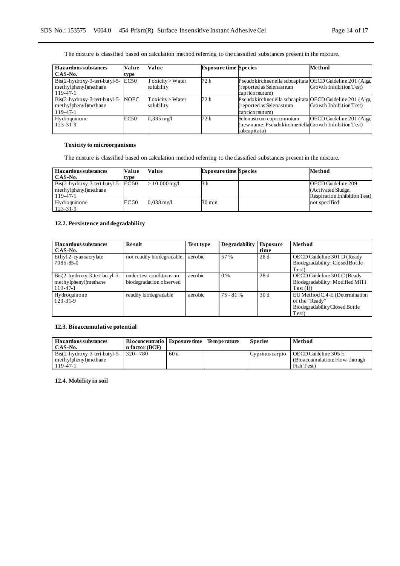The mixture is classified based on calculation method referring to the classified substances present in the mixture.

| Hazardous substances                                                  | Value       | Value                                | <b>Exposure time Species</b> |                                                                                                         | Method                    |
|-----------------------------------------------------------------------|-------------|--------------------------------------|------------------------------|---------------------------------------------------------------------------------------------------------|---------------------------|
| $CAS-N0$ .                                                            | type        |                                      |                              |                                                                                                         |                           |
| $Bis(2-hydroxy-3-tert-butyl-5-$<br>methylphenyl)methane<br>119-47-1   | EC50        | $T$ oxicity $>$ W ater<br>solubility | 72 h                         | Pseudokirchneriella subcapitata OECD Guideline 201 (Alga,<br>(reported as Selenastrum<br>capricornutum) | Growth Inhibition Test)   |
| $Bis(2-hydroxy-3-tert-butyl-5-$<br>methylphenyl)methane<br>$119-47-1$ | <b>NOEC</b> | $T$ oxicity > Water<br>solubility    | 72 h                         | Pseudokirchneriella subcapitata OECD Guideline 201 (Alga,<br>(reported as Selenastrum<br>capricornutum) | Growth Inhibition Test)   |
| Hydroquinone<br>$123 - 31 - 9$                                        | EC50        | $0.335 \text{ mg/l}$                 | 72 h                         | Selenastrum capricomutum<br>(newname: Pseudokirchneriella Growth Inhibition Test)<br>subcapitata)       | OECD Guideline 201 (Alga, |

### **Toxicity to microorganisms**

The mixture is classified based on calculation method referring to the classified substances present in the mixture.

| <b>Hazardous substances</b>                                   | Value | Value          | <b>Exposure time Species</b> | Method                               |
|---------------------------------------------------------------|-------|----------------|------------------------------|--------------------------------------|
| CAS-No.                                                       | type  |                |                              |                                      |
| $\text{Bis}(2-hy\text{,}3\text{-}t\text{,}2\text{-}t\text{)}$ |       | $>10.000$ mg/l | 3 h                          | OECD Guideline 209                   |
| methylphenyl)methane                                          |       |                |                              | (Activated Sludge,                   |
| 119-47-1                                                      |       |                |                              | <b>Respiration Inhibition Test</b> ) |
| Hydroquinone                                                  | EC50  | $0.038$ mg/l   | 30 min                       | not specified                        |
| $123 - 31 - 9$                                                |       |                |                              |                                      |

### **12.2. Persistence and degradability**

| <b>Hazardous substances</b><br>CAS-No.                              | <b>Result</b>                                       | Test type | Degradability | Exposure<br>time | Method                                                                                      |
|---------------------------------------------------------------------|-----------------------------------------------------|-----------|---------------|------------------|---------------------------------------------------------------------------------------------|
| Ethyl 2-cyanoacrylate<br>$7085 - 85 - 0$                            | not readily biodegradable.                          | aerobic   | 57 %          | 28d              | OECD Guideline 301 D (Ready<br>Biodegradability: Closed Bottle<br>Test)                     |
| $Bis(2-hydroxy-3-tert-butyl-5-$<br>methylphenyl)methane<br>119-47-1 | under test conditions no<br>biodegradation observed | aerobic   | 0%            | 28d              | OECD Guideline 301 C (Ready<br>Biodegradability: Modified MITI<br>Test (I))                 |
| Hydroquinone<br>$123 - 31 - 9$                                      | readily biodegradable                               | aerobic   | $75 - 81%$    | 30d              | EU Method C.4-E (Determination<br>of the "Ready"<br>Biodegradability Closed Bottle<br>Test) |

### **12.3. Bioaccumulative potential**

| <b>Hazardous substances</b><br>CAS-No.                  | Bioconcentratio   Exposure time   Temperature<br>n factor (BCF) |     | <b>Species</b>  | Method                                                  |
|---------------------------------------------------------|-----------------------------------------------------------------|-----|-----------------|---------------------------------------------------------|
| $\text{Bis}(2\text{-hydroxy-3-tert-butyl-5-}$ 320 - 780 |                                                                 | 60d | Cyprinus carpio | OECD Guideline 305 E<br>(Bioaccumulation: Flow-through) |
| methylphenyl)methane<br>119-47-1                        |                                                                 |     |                 | Fish Test)                                              |

### **12.4. Mobility in soil**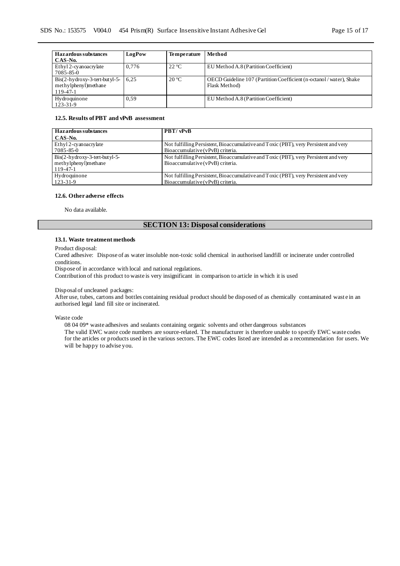| <b>Hazardous substances</b><br>CAS-No.                                | LogPow | <b>Temperature</b> | Method                                                                                |
|-----------------------------------------------------------------------|--------|--------------------|---------------------------------------------------------------------------------------|
| Ethyl 2-cyanoacrylate<br>7085-85-0                                    | 0.776  | $22^{\circ}C$      | EU Method A.8 (Partition Coefficient)                                                 |
| $Bis(2-hydroxy-3-tert-butyl-5-$<br>methylphenyl)methane<br>$119-47-1$ | 6.25   | $20^{\circ}$ C     | OECD Guideline 107 (Partition Coefficient (n-octanol / water), Shake<br>Flask Method) |
| Hydroquinone<br>$123 - 31 - 9$                                        | 0.59   |                    | EU Method A.8 (Partition Coefficient)                                                 |

#### **12.5. Results of PBT and vPvB assessment**

| Hazardous substances            | PBT/vPvB                                                                             |
|---------------------------------|--------------------------------------------------------------------------------------|
| CAS-No.                         |                                                                                      |
| Ethyl 2-cyanoacrylate           | Not fulfilling Persistent, Bioaccumulative and Toxic (PBT), very Persistent and very |
| 7085-85-0                       | Bioaccumulative (vPvB) criteria.                                                     |
| $Bis(2-hydroxy-3-tert-butyl-5-$ | Not fulfilling Persistent, Bioaccumulative and Toxic (PBT), very Persistent and very |
| methylphenyl)methane            | Bioaccumulative (vPvB) criteria.                                                     |
| 119-47-1                        |                                                                                      |
| Hydroquinone                    | Not fulfilling Persistent, Bioaccumulative and Toxic (PBT), very Persistent and very |
| $123 - 31 - 9$                  | Bioaccumulative (vPvB) criteria.                                                     |

#### **12.6. Other adverse effects**

No data available.

### **SECTION 13: Disposal considerations**

#### **13.1. Waste treatment methods**

Product disposal:

Cured adhesive: Dispose of as water insoluble non-toxic solid chemical in authorised landfill or incinerate under controlled conditions.

Dispose of in accordance with local and national regulations.

Contribution of this product to waste is very insignificant in comparison to article in which it is used

#### Disposal of uncleaned packages:

After use, tubes, cartons and bottles containing residual product should be disposed of as chemically contaminated wast e in an authorised legal land fill site or incinerated.

Waste code

08 04 09\* waste adhesives and sealants containing organic solvents and other dangerous substances The valid EWC waste code numbers are source-related. The manufacturer is therefore unable to specify EWC waste codes for the articles or products used in the various sectors. The EWC codes listed are intended as a recommendation for users. We will be happy to advise you.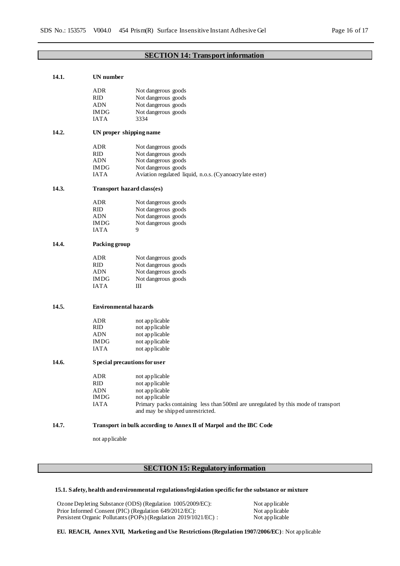### **SECTION 14: Transport information**

| 14.1. | UN number                     |                                                                                    |  |
|-------|-------------------------------|------------------------------------------------------------------------------------|--|
|       | ADR                           | Not dangerous goods                                                                |  |
|       | <b>RID</b>                    | Not dangerous goods                                                                |  |
|       | ADN                           | Not dangerous goods                                                                |  |
|       | <b>IMDG</b>                   | Not dangerous goods                                                                |  |
|       | <b>IATA</b>                   | 3334                                                                               |  |
|       |                               |                                                                                    |  |
| 14.2. | UN proper shipping name       |                                                                                    |  |
|       | ADR                           | Not dangerous goods                                                                |  |
|       | RID                           | Not dangerous goods                                                                |  |
|       | ADN                           | Not dangerous goods                                                                |  |
|       | <b>IMDG</b>                   | Not dangerous goods                                                                |  |
|       | <b>IATA</b>                   | Aviation regulated liquid, n.o.s. (Cyanoacrylate ester)                            |  |
| 14.3. | Transport hazard class(es)    |                                                                                    |  |
|       | ADR                           | Not dangerous goods                                                                |  |
|       | <b>RID</b>                    | Not dangerous goods                                                                |  |
|       | ADN                           | Not dangerous goods                                                                |  |
|       | <b>IMDG</b>                   | Not dangerous goods                                                                |  |
|       | <b>IATA</b>                   | 9                                                                                  |  |
| 14.4. | Packing group                 |                                                                                    |  |
|       | <b>ADR</b>                    | Not dangerous goods                                                                |  |
|       | RID                           | Not dangerous goods                                                                |  |
|       | ADN                           | Not dangerous goods                                                                |  |
|       | <b>IMDG</b>                   | Not dangerous goods                                                                |  |
|       | <b>IATA</b>                   | Ш                                                                                  |  |
|       |                               |                                                                                    |  |
| 14.5. |                               | <b>Environmental hazards</b>                                                       |  |
|       | ADR                           | not applicable                                                                     |  |
|       | RID                           | not applicable                                                                     |  |
|       | ADN                           | not applicable                                                                     |  |
|       | <b>IMDG</b>                   | not applicable                                                                     |  |
|       | <b>IATA</b>                   | not applicable                                                                     |  |
| 14.6. | S pecial precautions for user |                                                                                    |  |
|       | ADR                           | not applicable                                                                     |  |
|       | RID                           | not applicable                                                                     |  |
|       | <b>ADN</b>                    | not applicable                                                                     |  |
|       | <b>IMDG</b>                   | not applicable                                                                     |  |
|       | <b>IATA</b>                   | Primary packs containing less than 500ml are unregulated by this mode of transport |  |
|       |                               | and may be shipped unrestricted.                                                   |  |
| 14.7. |                               | Transport in bulk according to Annex II of Marpol and the IBC Code                 |  |
|       | not applicable                |                                                                                    |  |

# **SECTION 15: Regulatory information**

#### **15.1. Safety, health and environmental regulations/legislation specific for the substance or mixture**

Ozone Depleting Substance (ODS) (Regulation 1005/2009/EC): Not applicable<br>Prior Informed Consent (PIC) (Regulation 649/2012/EC): Not applicable<br>Persistent Organic Pollutants (POPs) (Regulation 2019/1021/EC) : Not applicabl Prior Informed Consent (PIC) (Regulation 649/2012/EC): Persistent Organic Pollutants (POPs) (Regulation  $2019/1021/EC$ ) :

**EU. REACH, Annex XVII, Marketing and Use Restrictions (Regulation 1907/2006/EC):** Not applicable